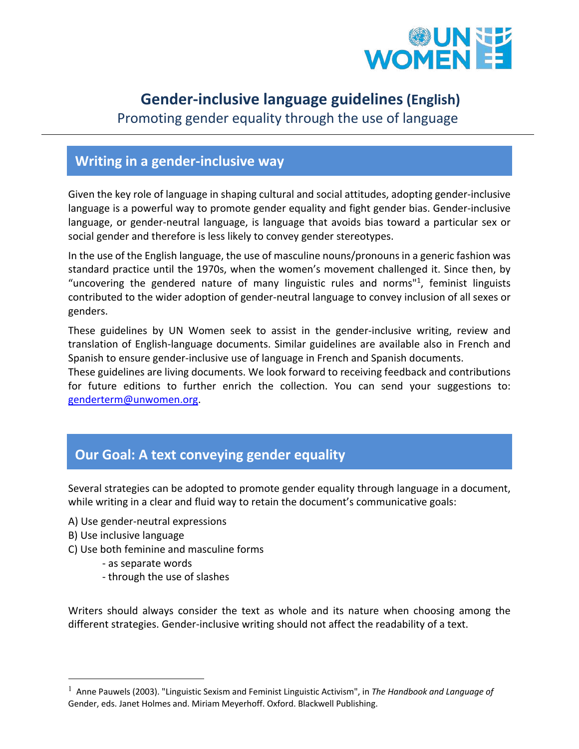

# **Gender-inclusive language guidelines(English)**

Promoting gender equality through the use of language

## **Writing in a gender-inclusive way**

Given the key role of language in shaping cultural and social attitudes, adopting gender-inclusive language is a powerful way to promote gender equality and fight gender bias. Gender-inclusive language, or gender-neutral language, is language that avoids bias toward a particular sex or social gender and therefore is less likely to convey gender stereotypes.

In the use of the English language, the use of masculine nouns/pronouns in a generic fashion was standard practice until the 1970s, when the women's movement challenged it. Since then, by "uncovering the gendered nature of many linguistic rules and norms"<sup>1</sup>, feminist linguists contributed to the wider adoption of gender-neutral language to convey inclusion of all sexes or genders.

These guidelines by UN Women seek to assist in the gender-inclusive writing, review and translation of English-language documents. Similar guidelines are available also in French and Spanish to ensure gender-inclusive use of language in French and Spanish documents.

These guidelines are living documents. We look forward to receiving feedback and contributions for future editions to further enrich the collection. You can send your suggestions to: genderterm@unwomen.org.

## **Our Goal: A text conveying gender equality**

Several strategies can be adopted to promote gender equality through language in a document, while writing in a clear and fluid way to retain the document's communicative goals:

- A) Use gender-neutral expressions
- B) Use inclusive language
- C) Use both feminine and masculine forms
	- as separate words
	- through the use of slashes

Writers should always consider the text as whole and its nature when choosing among the different strategies. Gender-inclusive writing should not affect the readability of a text.

<sup>1</sup> Anne Pauwels (2003). "Linguistic Sexism and Feminist Linguistic Activism", in *The Handbook and Language of*  Gender, eds. Janet Holmes and. Miriam Meyerhoff. Oxford. Blackwell Publishing.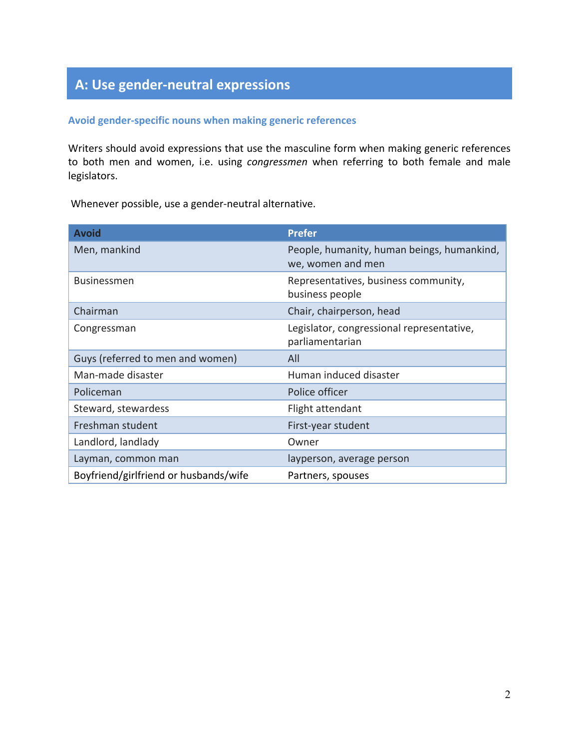# **A: Use gender-neutral expressions**

#### **Avoid gender-specific nouns when making generic references**

Writers should avoid expressions that use the masculine form when making generic references to both men and women, i.e. using *congressmen* when referring to both female and male legislators.

Whenever possible, use a gender-neutral alternative.

| <b>Avoid</b>                          | <b>Prefer</b>                                                   |  |
|---------------------------------------|-----------------------------------------------------------------|--|
| Men, mankind                          | People, humanity, human beings, humankind,<br>we, women and men |  |
| <b>Businessmen</b>                    | Representatives, business community,<br>business people         |  |
| Chairman                              | Chair, chairperson, head                                        |  |
| Congressman                           | Legislator, congressional representative,<br>parliamentarian    |  |
| Guys (referred to men and women)      | All                                                             |  |
| Man-made disaster                     | Human induced disaster                                          |  |
| Policeman                             | Police officer                                                  |  |
| Steward, stewardess                   | Flight attendant                                                |  |
| Freshman student                      | First-year student                                              |  |
| Landlord, landlady                    | Owner                                                           |  |
| Layman, common man                    | layperson, average person                                       |  |
| Boyfriend/girlfriend or husbands/wife | Partners, spouses                                               |  |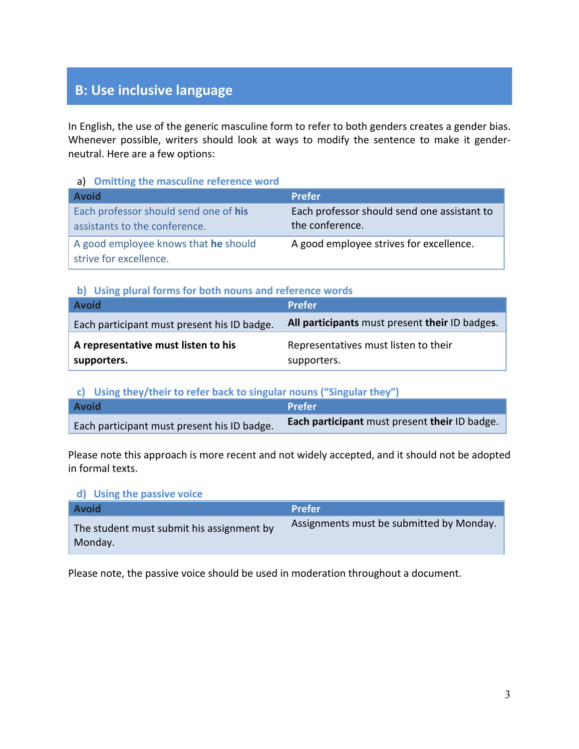## **B: Use inclusive language**

In English, the use of the generic masculine form to refer to both genders creates a gender bias. Whenever possible, writers should look at ways to modify the sentence to make it genderneutral. Here are a few options:

#### a) **Omitting the masculine reference word**

| <b>Avoid</b>                                                           | <b>Prefer</b>                                                  |
|------------------------------------------------------------------------|----------------------------------------------------------------|
| Each professor should send one of his<br>assistants to the conference. | Each professor should send one assistant to<br>the conference. |
| A good employee knows that he should<br>strive for excellence.         | A good employee strives for excellence.                        |

### **b) Using plural forms for both nouns and reference words**

| <b>Avoid</b>                                       | <b>Prefer</b>                                       |  |
|----------------------------------------------------|-----------------------------------------------------|--|
| Each participant must present his ID badge.        | All participants must present their ID badges.      |  |
| A representative must listen to his<br>supporters. | Representatives must listen to their<br>supporters. |  |

**c) Using they/their to refer back to singular nouns ("Singular they")**

| <b>Avoid</b>                                | <b>Prefer</b>                                 |
|---------------------------------------------|-----------------------------------------------|
| Each participant must present his ID badge. | Each participant must present their ID badge. |

Please note this approach is more recent and not widely accepted, and it should not be adopted in formal texts.

#### **d) Using the passive voice**

| <b>Avoid</b>                                         | <b>Prefer</b>                            |
|------------------------------------------------------|------------------------------------------|
| The student must submit his assignment by<br>Monday. | Assignments must be submitted by Monday. |

Please note, the passive voice should be used in moderation throughout a document.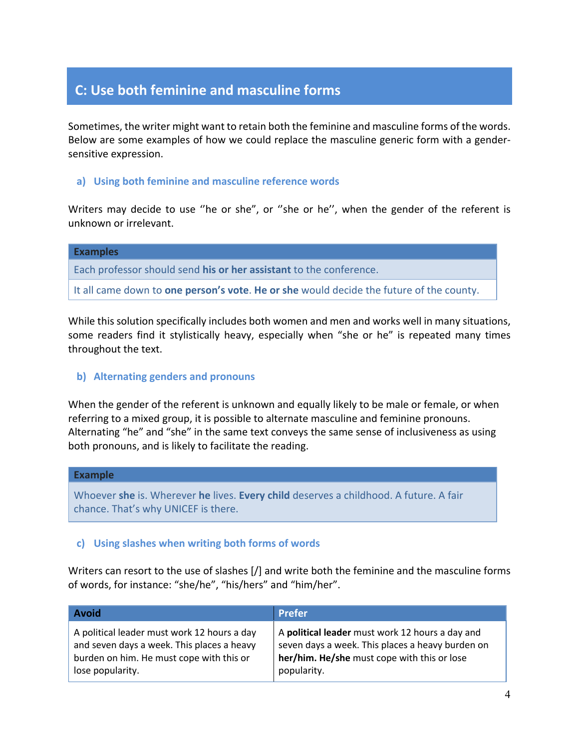## **C: Use both feminine and masculine forms**

Sometimes, the writer might want to retain both the feminine and masculine forms of the words. Below are some examples of how we could replace the masculine generic form with a gendersensitive expression.

#### **a) Using both feminine and masculine reference words**

Writers may decide to use ''he or she", or ''she or he'', when the gender of the referent is unknown or irrelevant.

| <b>Examples</b>                                                                                |
|------------------------------------------------------------------------------------------------|
| Each professor should send his or her assistant to the conference.                             |
| It all came down to <b>one person's vote. He or she</b> would decide the future of the county. |

While this solution specifically includes both women and men and works well in many situations, some readers find it stylistically heavy, especially when "she or he" is repeated many times throughout the text.

#### **b) Alternating genders and pronouns**

When the gender of the referent is unknown and equally likely to be male or female, or when referring to a mixed group, it is possible to alternate masculine and feminine pronouns. Alternating "he" and "she" in the same text conveys the same sense of inclusiveness as using both pronouns, and is likely to facilitate the reading.

#### **Example**

Whoever **she** is. Wherever **he** lives. **Every child** deserves a childhood. A future. A fair chance. That's why UNICEF is there.

#### **c) Using slashes when writing both forms of words**

Writers can resort to the use of slashes [/] and write both the feminine and the masculine forms of words, for instance: "she/he", "his/hers" and "him/her".

| <b>Avoid</b>                                | <b>Prefer</b>                                    |
|---------------------------------------------|--------------------------------------------------|
| A political leader must work 12 hours a day | A political leader must work 12 hours a day and  |
| and seven days a week. This places a heavy  | seven days a week. This places a heavy burden on |
| burden on him. He must cope with this or    | her/him. He/she must cope with this or lose      |
| lose popularity.                            | popularity.                                      |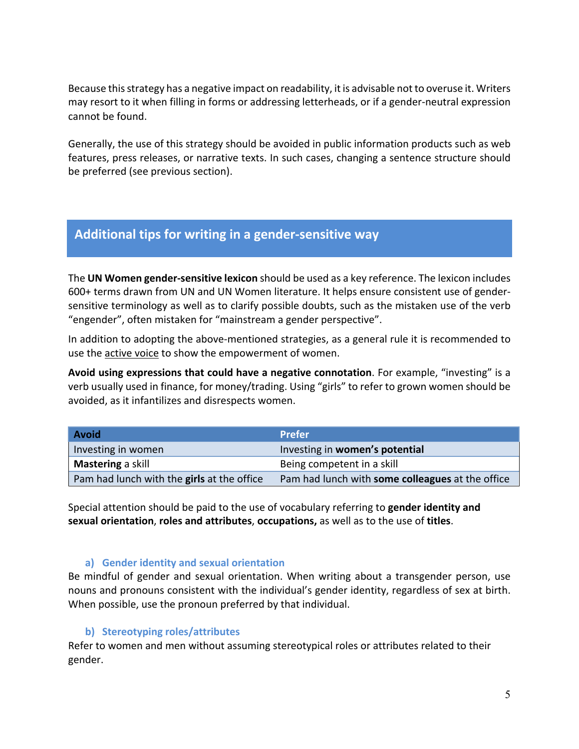Because this strategy has a negative impact on readability, it is advisable not to overuse it. Writers may resort to it when filling in forms or addressing letterheads, or if a gender-neutral expression cannot be found.

Generally, the use of this strategy should be avoided in public information products such as web features, press releases, or narrative texts. In such cases, changing a sentence structure should be preferred (see previous section).

### **Additional tips for writing in a gender-sensitive way**

The **UN Women gender-sensitive lexicon** should be used as a key reference. The lexicon includes 600+ terms drawn from UN and UN Women literature. It helps ensure consistent use of gendersensitive terminology as well as to clarify possible doubts, such as the mistaken use of the verb "engender", often mistaken for "mainstream a gender perspective".

In addition to adopting the above-mentioned strategies, as a general rule it is recommended to use the active voice to show the empowerment of women.

**Avoid using expressions that could have a negative connotation**. For example, "investing" is a verb usually used in finance, for money/trading. Using "girls" to refer to grown women should be avoided, as it infantilizes and disrespects women.

| <b>Avoid</b>                               | <b>Prefer</b>                                    |  |
|--------------------------------------------|--------------------------------------------------|--|
| Investing in women                         | Investing in women's potential                   |  |
| Mastering a skill                          | Being competent in a skill                       |  |
| Pam had lunch with the girls at the office | Pam had lunch with some colleagues at the office |  |

Special attention should be paid to the use of vocabulary referring to **gender identity and sexual orientation**, **roles and attributes**, **occupations,** as well as to the use of **titles**.

### **a) Gender identity and sexual orientation**

Be mindful of gender and sexual orientation. When writing about a transgender person, use nouns and pronouns consistent with the individual's gender identity, regardless of sex at birth. When possible, use the pronoun preferred by that individual.

### **b) Stereotyping roles/attributes**

Refer to women and men without assuming stereotypical roles or attributes related to their gender.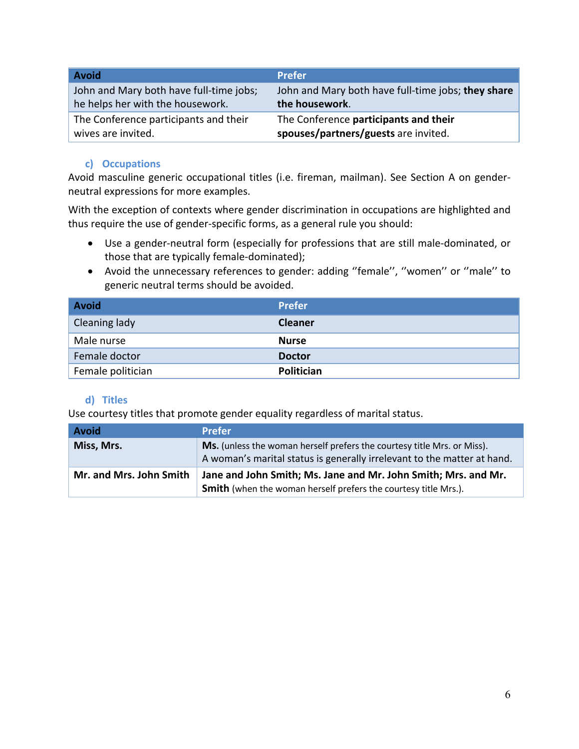| <b>Avoid</b>                            | <b>Prefer</b>                                      |
|-----------------------------------------|----------------------------------------------------|
| John and Mary both have full-time jobs; | John and Mary both have full-time jobs; they share |
| he helps her with the housework.        | the housework.                                     |
| The Conference participants and their   | The Conference participants and their              |
| wives are invited.                      | spouses/partners/guests are invited.               |

### **c) Occupations**

Avoid masculine generic occupational titles (i.e. fireman, mailman). See Section A on genderneutral expressions for more examples.

With the exception of contexts where gender discrimination in occupations are highlighted and thus require the use of gender-specific forms, as a general rule you should:

- Use a gender-neutral form (especially for professions that are still male-dominated, or those that are typically female-dominated);
- Avoid the unnecessary references to gender: adding ''female'', ''women'' or ''male'' to generic neutral terms should be avoided.

| <b>Avoid</b>      | <b>Prefer</b>     |
|-------------------|-------------------|
| Cleaning lady     | <b>Cleaner</b>    |
| Male nurse        | <b>Nurse</b>      |
| Female doctor     | <b>Doctor</b>     |
| Female politician | <b>Politician</b> |

### **d) Titles**

Use courtesy titles that promote gender equality regardless of marital status.

| <b>Avoid</b>            | <b>Prefer</b>                                                                                                                                      |
|-------------------------|----------------------------------------------------------------------------------------------------------------------------------------------------|
| Miss, Mrs.              | Ms. (unless the woman herself prefers the courtesy title Mrs. or Miss).<br>A woman's marital status is generally irrelevant to the matter at hand. |
| Mr. and Mrs. John Smith | Jane and John Smith; Ms. Jane and Mr. John Smith; Mrs. and Mr.<br><b>Smith</b> (when the woman herself prefers the courtesy title Mrs.).           |